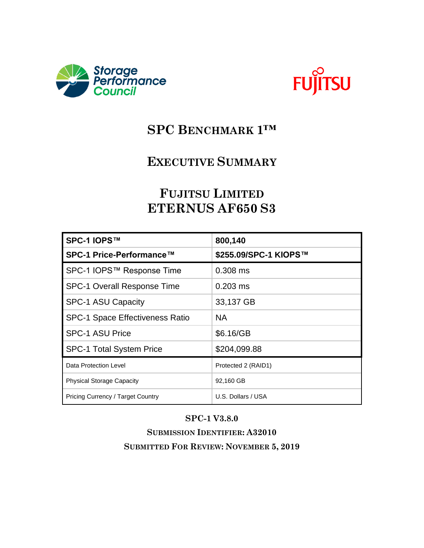



## **SPC BENCHMARK 1™**

## **EXECUTIVE SUMMARY**

# **FUJITSU LIMITED ETERNUS AF650 S3**

| SPC-1 IOPS™                            | 800,140               |
|----------------------------------------|-----------------------|
| SPC-1 Price-Performance™               | \$255.09/SPC-1 KIOPS™ |
| SPC-1 IOPS™ Response Time              | 0.308 ms              |
| <b>SPC-1 Overall Response Time</b>     | $0.203$ ms            |
| <b>SPC-1 ASU Capacity</b>              | 33,137 GB             |
| <b>SPC-1 Space Effectiveness Ratio</b> | <b>NA</b>             |
| <b>SPC-1 ASU Price</b>                 | \$6.16/GB             |
| <b>SPC-1 Total System Price</b>        | \$204,099.88          |
| Data Protection Level                  | Protected 2 (RAID1)   |
| <b>Physical Storage Capacity</b>       | 92,160 GB             |
| Pricing Currency / Target Country      | U.S. Dollars / USA    |

#### **SPC-1 V3.8.0**

**SUBMISSION IDENTIFIER: A32010 SUBMITTED FOR REVIEW: NOVEMBER 5, 2019**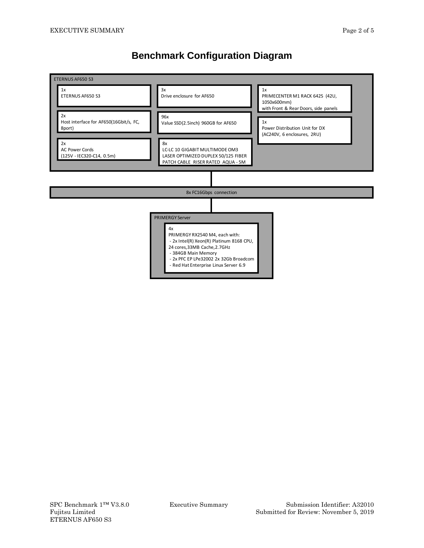### **Benchmark Configuration Diagram**

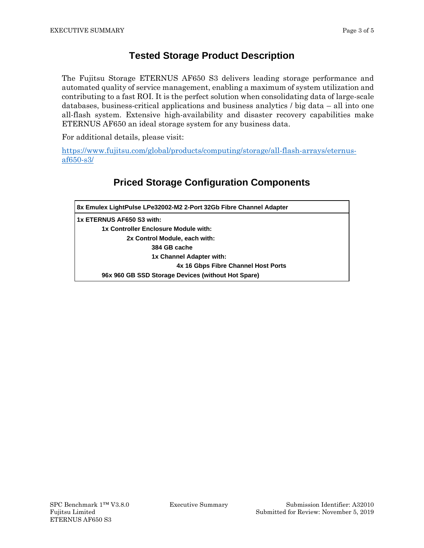#### **Tested Storage Product Description**

The Fujitsu Storage ETERNUS AF650 S3 delivers leading storage performance and automated quality of service management, enabling a maximum of system utilization and contributing to a fast ROI. It is the perfect solution when consolidating data of large-scale databases, business-critical applications and business analytics / big data – all into one all-flash system. Extensive high-availability and disaster recovery capabilities make ETERNUS AF650 an ideal storage system for any business data.

For additional details, please visit:

[https://www.fujitsu.com/global/products/computing/storage/all-flash-arrays/eternus](https://www.fujitsu.com/global/products/computing/storage/all-flash-arrays/eternus-af650-s3/)[af650-s3/](https://www.fujitsu.com/global/products/computing/storage/all-flash-arrays/eternus-af650-s3/)

### **Priced Storage Configuration Components**

| 8x Emulex LightPulse LPe32002-M2 2-Port 32Gb Fibre Channel Adapter |  |  |  |  |
|--------------------------------------------------------------------|--|--|--|--|
| 1x ETERNUS AF650 S3 with:                                          |  |  |  |  |
| 1x Controller Enclosure Module with:                               |  |  |  |  |
| 2x Control Module, each with:                                      |  |  |  |  |
| 384 GB cache                                                       |  |  |  |  |
| 1x Channel Adapter with:                                           |  |  |  |  |
| 4x 16 Gbps Fibre Channel Host Ports                                |  |  |  |  |
| 96x 960 GB SSD Storage Devices (without Hot Spare)                 |  |  |  |  |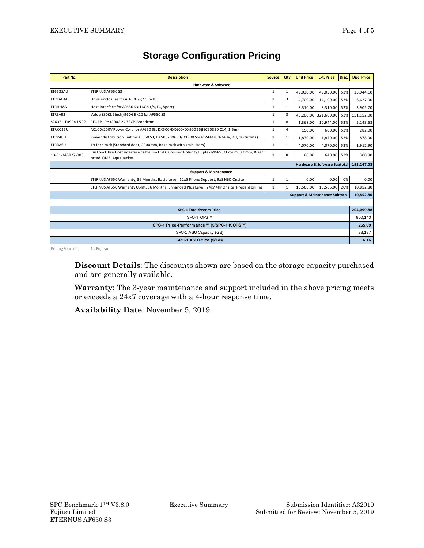| Part No.                                   | <b>Description</b>                                                                                                      | <b>Source</b> | Qty          | <b>Unit Price</b> | <b>Ext. Price</b>    | Disc.      | Disc. Price |
|--------------------------------------------|-------------------------------------------------------------------------------------------------------------------------|---------------|--------------|-------------------|----------------------|------------|-------------|
| <b>Hardware &amp; Software</b>             |                                                                                                                         |               |              |                   |                      |            |             |
| ET653SAU                                   | <b>ETERNUS AF650 S3</b>                                                                                                 | 1             | 1            | 49.030.00         | 49,030.00            | 53%        | 23,044.10   |
| ETREADAU                                   | Drive enclosure for AF650 S3(2.5inch)                                                                                   | 1             | 3            | 4.700.00          | 14,100.00            | 53%        | 6,627.00    |
| ETRHH8A                                    | Host interface for AF650 S3(16Gbit/s, FC, 8port)                                                                        | 1             | $\mathbf{1}$ | 8.310.00          | 8.310.00             | 53%        | 3,905.70    |
| ETRSA92                                    | Value SSD(2.5inch) 960GB x12 for AF650 S3                                                                               | 1             | 8            |                   | 40,200.00 321,600.00 | 53%        | 151,152.00  |
| S26361-F4994-L502                          | PFC EP LPe32002 2x 32Gb Broadcom                                                                                        | 1             | 8            | 1,368.00          | 10,944.00            | 53%        | 5,143.68    |
| ETRKC15U                                   | AC100/200V Power Cord for AF650 S3, DX500/DX600/DX900 S5(IEC60320 C14, 1.5m)                                            | 1             | 4            | 150.00            | 600.00               | 53%        | 282.00      |
| ETRP48U                                    | Power distribution unit for AF650 S3, DX500/DX600/DX900 S5(AC24A/200-240V, 2U, 16Outlets)                               | 1             | 1            | 1,870.00          | 1,870.00             | 53%        | 878.90      |
| <b>ETRRASU</b>                             | 19-inch rack (Standard door, 2000mm, Base rack with stabilizers)                                                        | 1             | $\mathbf{1}$ | 4.070.00          | 4,070.00             | 53%        | 1,912.90    |
| 13-61-343827-003                           | Custom Fibre Host interface cable 3m LC-LC Crossed Polarity Duplex MM-50/125um; 3.0mm; Riser<br>rated; OM3; Aqua Jacket | 1             | 8            | 80.00             | 640.00 53%           |            | 300.80      |
| Hardware & Software Subtotal               |                                                                                                                         |               |              |                   |                      |            | 193,247.08  |
|                                            | <b>Support &amp; Maintenance</b>                                                                                        |               |              |                   |                      |            |             |
|                                            | ETERNUS AF650 Warranty, 36 Months, Basic Level, 12x5 Phone Support, 9x5 NBD Onsite                                      | 1             | $\mathbf{1}$ | 0.00              | 0.00                 | 0%         | 0.00        |
|                                            | ETERNUS AF650 Warranty Uplift, 36 Months, Enhanced Plus Level, 24x7 4hr Onsite, Prepaid billing                         | 1             | 1            | 13,566.00         | 13,566.00            | 20%        | 10,852.80   |
| <b>Support &amp; Maintenance Subtotal</b>  |                                                                                                                         |               |              |                   |                      | 10,852.80  |             |
|                                            |                                                                                                                         |               |              |                   |                      |            |             |
| <b>SPC-1 Total System Price</b>            |                                                                                                                         |               |              |                   |                      | 204,099.88 |             |
| SPC-1 IOPS™                                |                                                                                                                         |               |              |                   | 800.140              |            |             |
| SPC-1 Price-Performance™ (\$/SPC-1 KIOPS™) |                                                                                                                         |               |              |                   | 255.09               |            |             |
| SPC-1 ASU Capacity (GB)                    |                                                                                                                         |               |              | 33.137            |                      |            |             |
| SPC-1 ASU Price (\$/GB)                    |                                                                                                                         |               |              | 6.16              |                      |            |             |

### **Storage Configuration Pricing**

Pricing Sources: 1 = Fujitsu

**Discount Details**: The discounts shown are based on the storage capacity purchased and are generally available.

**Warranty**: The 3-year maintenance and support included in the above pricing meets or exceeds a 24x7 coverage with a 4-hour response time.

**Availability Date**: November 5, 2019.